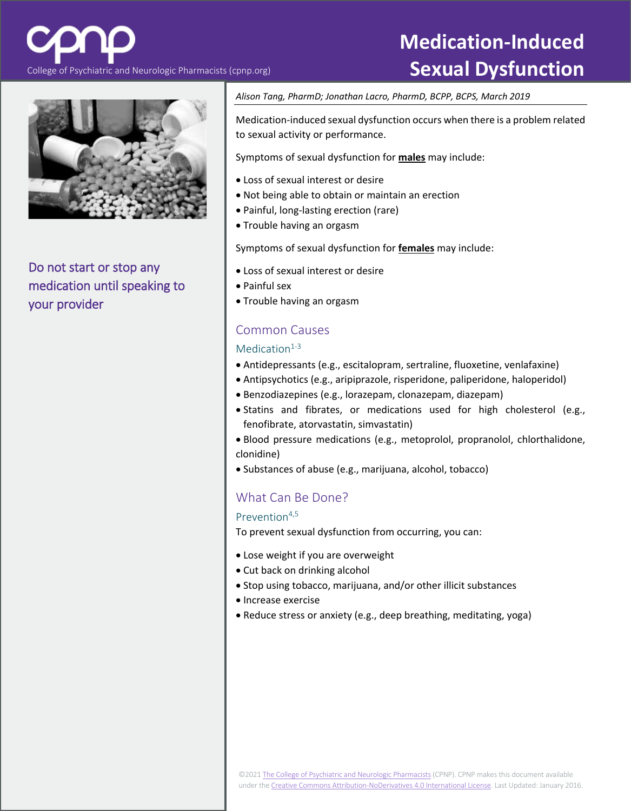College of Psychiatric and Neurologic Pharmacists (cpnp.org) **Sexual Dysfunction** 

Do not start or stop any medication until speaking to your provider

## *Alison Tang, PharmD; Jonathan Lacro, PharmD, BCPP, BCPS, March 2019*

Medication-induced sexual dysfunction occurs when there is a problem related to sexual activity or performance.

Symptoms of sexual dysfunction for **males** may include:

- Loss of sexual interest or desire
- Not being able to obtain or maintain an erection
- Painful, long-lasting erection (rare)
- Trouble having an orgasm

Symptoms of sexual dysfunction for **females** may include:

- Loss of sexual interest or desire
- Painful sex
- Trouble having an orgasm

## Common Causes

## Medication $1-3$

- Antidepressants (e.g., escitalopram, sertraline, fluoxetine, venlafaxine)
- Antipsychotics (e.g., aripiprazole, risperidone, paliperidone, haloperidol)
- Benzodiazepines (e.g., lorazepam, clonazepam, diazepam)
- Statins and fibrates, or medications used for high cholesterol (e.g., fenofibrate, atorvastatin, simvastatin)
- Blood pressure medications (e.g., metoprolol, propranolol, chlorthalidone, clonidine)
- Substances of abuse (e.g., marijuana, alcohol, tobacco)

# What Can Be Done?

## Prevention<sup>4,5</sup>

To prevent sexual dysfunction from occurring, you can:

- Lose weight if you are overweight
- Cut back on drinking alcohol
- Stop using tobacco, marijuana, and/or other illicit substances
- Increase exercise
- Reduce stress or anxiety (e.g., deep breathing, meditating, yoga)